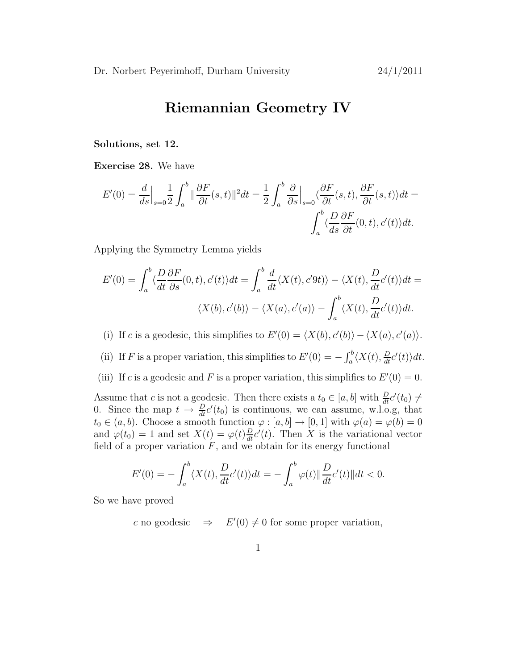## Riemannian Geometry IV

Solutions, set 12.

Exercise 28. We have

$$
E'(0) = \frac{d}{ds}\Big|_{s=0} \frac{1}{2} \int_a^b \|\frac{\partial F}{\partial t}(s,t)\|^2 dt = \frac{1}{2} \int_a^b \frac{\partial}{\partial s}\Big|_{s=0} \langle \frac{\partial F}{\partial t}(s,t), \frac{\partial F}{\partial t}(s,t) \rangle dt = \int_a^b \langle \frac{D}{ds} \frac{\partial F}{\partial t}(0,t), c'(t) \rangle dt.
$$

Applying the Symmetry Lemma yields

$$
E'(0) = \int_{a}^{b} \langle \frac{D}{dt} \frac{\partial F}{\partial s}(0, t), c'(t) \rangle dt = \int_{a}^{b} \frac{d}{dt} \langle X(t), c'(t) \rangle - \langle X(t), \frac{D}{dt} c'(t) \rangle dt = \langle X(b), c'(b) \rangle - \langle X(a), c'(a) \rangle - \int_{a}^{b} \langle X(t), \frac{D}{dt} c'(t) \rangle dt.
$$

(i) If c is a geodesic, this simplifies to  $E'(0) = \langle X(b), c'(b) \rangle - \langle X(a), c'(a) \rangle$ .

(ii) If F is a proper variation, this simplifies to  $E'(0) = -\int_a^b \langle X(t), \frac{D}{dt}c'(t) \rangle dt$ .

(iii) If c is a geodesic and F is a proper variation, this simplifies to  $E'(0) = 0$ .

Assume that c is not a geodesic. Then there exists a  $t_0 \in [a, b]$  with  $\frac{D}{dt}c'(t_0) \neq 0$ 0. Since the map  $t \to \frac{D}{dt}c'(t_0)$  is continuous, we can assume, w.l.o.g, that  $t_0 \in (a, b)$ . Choose a smooth function  $\varphi : [a, b] \to [0, 1]$  with  $\varphi(a) = \varphi(b) = 0$ and  $\varphi(t_0) = 1$  and set  $X(t) = \varphi(t) \frac{D}{dt} c'(t)$ . Then X is the variational vector field of a proper variation  $F$ , and we obtain for its energy functional

$$
E'(0) = -\int_a^b \langle X(t), \frac{D}{dt}c'(t) \rangle dt = -\int_a^b \varphi(t) \|\frac{D}{dt}c'(t)\| dt < 0.
$$

So we have proved

c no geodesic  $\Rightarrow$   $E'(0) \neq 0$  for some proper variation,